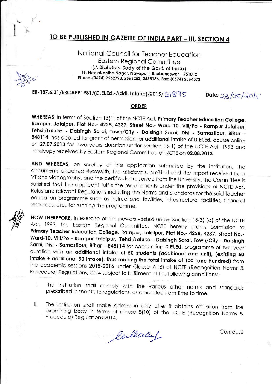## TO BE PUBLISHED IN GAZETTE OF INDIA PART - III, SECTION 4

National Council for Teacher Education **Eastern Regional Committee** (A Statutory Body of the Govt. of India) 15, Neelakantha Nagar, Nayapalli, Bhubaneswar - 751012 Phone-(0674) 2562793, 2563252, 2563156, Fax: (0674) 2564873

ER-187.6.31/ERCAPP1981/(D.El.Ed.-Addl. Intake)/2015/31895

Date: 23/05/2015

## **ORDER**

WHEREAS, in terms of Section 15(1) of the NCTE Act, Primary Teacher Education College, Rampur, Jalalpur, Plot No.- 4228, 4237, Street No.- Ward-10, Vill/Po - Rampur Jalalpur, Tehsil/Taluka - Dalsingh Sarai, Town/City - Dalsingh Sarai, Dist - Samastipur, Bihar -848114 has applied for grant of permission for additional intake of D.El.Ed. course online on 27.07.2013 for two years duration under section 15(1) of the NCTE Act, 1993 and hardcopy received by Eastern Regional Committee of NCTE on 02.08.2013.

AND WHEREAS, on scrutiny of the application submitted by the institution, the docurnents attached therewith, the affidavit submitted and the report received from VT and videography, and the certificates received from the University, the Committee is satisfied that the applicant fulfils the requirements under the provisions of NCTE Act, Rules and relevant Regulations including the Norms and Standards for the said teacher education programme such as instructional facilities, infrastructural facilities, financial resources, etc., for running the programme.



NOW THEREFORE, in exercise of the powers vested under Section 15(3) (a) of the NCTE Act, 1993, the Eastern Regional Committee, NCTE hereby grants permission to Primary Teacher Education College, Rampur, Jalalpur, Plot No.- 4228, 4237, Street No.-Ward-10, Vill/Po - Rampur Jalalpur, Tehsil/Taluka - Dalsingh Sarai, Town/City - Dalsingh Sarai, Dist - Samastipur, Bihar - 848114 for conducting D.El.Ed. programme of two year duration with an additional intake of 50 students (additional one unit), (existing 50 intake + additional 50 intake), thus making the total intake of 100 (one hundred) from the academic sessions 2015-2016 under Clause 7(16) of NCTE (Recognition Norms & Procedure) Regulations, 2014 subject to fulfillment of the following conditions:-

- The institution shall comply with the various other norms and standards T. prescribed in the NCTE regulations, as amended from time to time.
- The institution shall make admission only after it obtains affiliation from the Ш. examining body in terms of clause 8(10) of the NCTE (Recognition Norms & Procedure) Regulations 2014.

Certleelen

Contd...2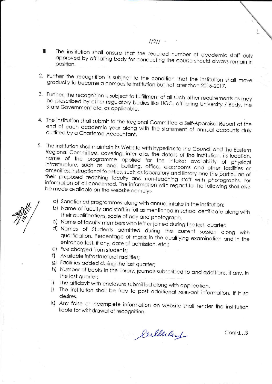- The institution shall ensure that the required number of academic staff duly III. approved by affiliating body for conducting the course should always remain in position.
- 2. Further the recognition is subject to the condition that the institution shall move gradually to become a composite institution but not later than 2016-2017.
- 3. Further, the recognition is subject to fulfillment of all such other requirements as may be prescribed by other regulatory bodies like UGC, affiliating University / Body, the State Government etc, as applicable.
- 4. The institution shall submit to the Regional Committee a Self-Appraisal Report at the end of each academic year along with the statement of annual accounts duly audited by a Chartered Accountant.
- 5. The institution shall maintain its Website with hyperlink to the Council and the Eastern Regional Committee, covering, inter-alia, the details of the institution, its location, name of the programme applied for the intake; availability of physical infrastructure, such as land, building, office, classrooms and other facilities or amenities: instructional facilities, such as laboratory and library and the particulars of their proposed teaching faculty and non-teaching staff with photographs, for information of all concerned. The information with regard to the following shall also be made available on the website namely:
	- a) Sanctioned programmes along with annual intake in the institution:
	- b) Name of faculty and staff in full as mentioned in school certificate along with their qualifications, scale of pay and photograph.
	- c) Name of faculty members who left or joined during the last, quarter:
	- d) Names of Students admitted during the current session along with qualification, Percentage of marks in the qualifying examination and in the entrance test, if any, date of admission, etc.;
	- e) Fee charged from students;
	- f) Available infrastructural facilities;
	- g) Facilities added during the last quarter;
	- h) Number of books in the library, journals subscribed to and additions, if any, in the last quarter:
	- The affidavit with enclosure submitted along with application.  $i$
	- j) The institution shall be free to post additional relevant information. If it so desires.
	- k) Any false or incomplete information on website shall render the institution liable for withdrawal of recognition.

Culleday

Contd...3

## $1/211$